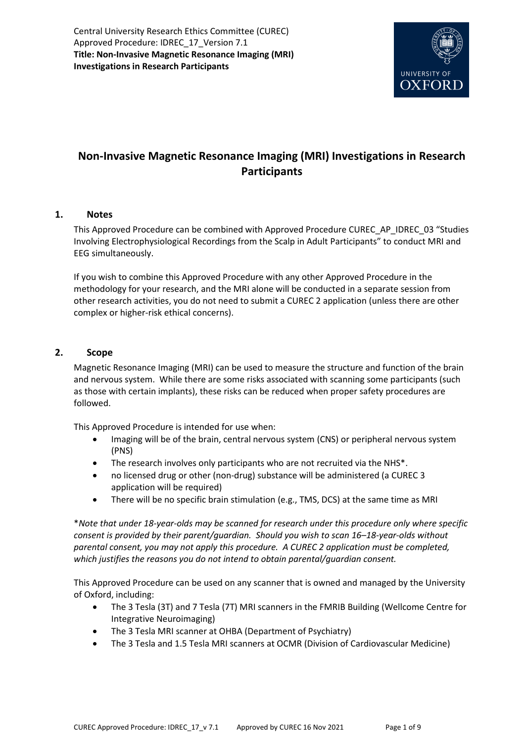Central University Research Ethics Committee (CUREC) Approved Procedure: IDREC\_17\_Version 7.1 **Title: Non-Invasive Magnetic Resonance Imaging (MRI) Investigations in Research Participants** 



# **Non-Invasive Magnetic Resonance Imaging (MRI) Investigations in Research Participants**

## **1. Notes**

This Approved Procedure can be combined with Approved Procedure CUREC\_AP\_IDREC\_03 "Studies Involving Electrophysiological Recordings from the Scalp in Adult Participants" to conduct MRI and EEG simultaneously.

If you wish to combine this Approved Procedure with any other Approved Procedure in the methodology for your research, and the MRI alone will be conducted in a separate session from other research activities, you do not need to submit a CUREC 2 application (unless there are other complex or higher-risk ethical concerns).

## **2. Scope**

Magnetic Resonance Imaging (MRI) can be used to measure the structure and function of the brain and nervous system. While there are some risks associated with scanning some participants (such as those with certain implants), these risks can be reduced when proper safety procedures are followed.

This Approved Procedure is intended for use when:

- Imaging will be of the brain, central nervous system (CNS) or peripheral nervous system (PNS)
- The research involves only participants who are not recruited via the NHS\*.
- no licensed drug or other (non-drug) substance will be administered (a CUREC 3 application will be required)
- There will be no specific brain stimulation (e.g., TMS, DCS) at the same time as MRI

\**Note that under 18-year-olds may be scanned for research under this procedure only where specific consent is provided by their parent/guardian. Should you wish to scan 16–18-year-olds without parental consent, you may not apply this procedure. A CUREC 2 application must be completed, which justifies the reasons you do not intend to obtain parental/guardian consent.*

This Approved Procedure can be used on any scanner that is owned and managed by the University of Oxford, including:

- The 3 Tesla (3T) and 7 Tesla (7T) MRI scanners in the FMRIB Building (Wellcome Centre for Integrative Neuroimaging)
- The 3 Tesla MRI scanner at OHBA (Department of Psychiatry)
- The 3 Tesla and 1.5 Tesla MRI scanners at OCMR (Division of Cardiovascular Medicine)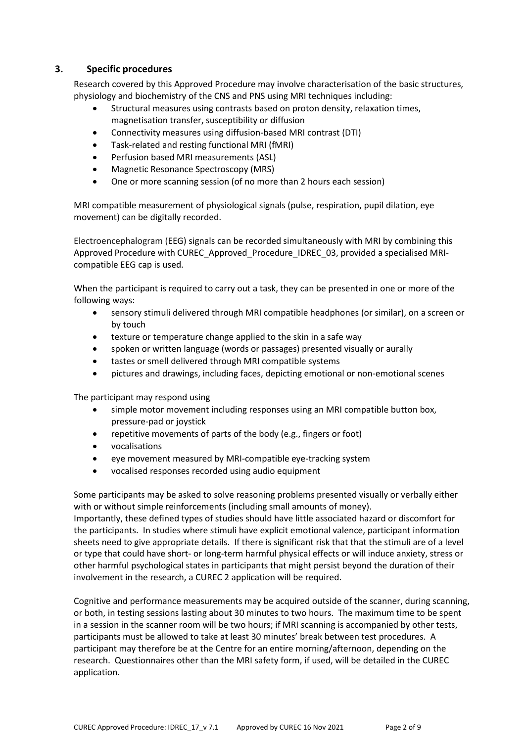## **3. Specific procedures**

Research covered by this Approved Procedure may involve characterisation of the basic structures, physiology and biochemistry of the CNS and PNS using MRI techniques including:

- Structural measures using contrasts based on proton density, relaxation times, magnetisation transfer, susceptibility or diffusion
- Connectivity measures using diffusion-based MRI contrast (DTI)
- Task-related and resting functional MRI (fMRI)
- Perfusion based MRI measurements (ASL)
- Magnetic Resonance Spectroscopy (MRS)
- One or more scanning session (of no more than 2 hours each session)

MRI compatible measurement of physiological signals (pulse, respiration, pupil dilation, eye movement) can be digitally recorded.

Electroencephalogram (EEG) signals can be recorded simultaneously with MRI by combining this Approved Procedure with CUREC\_Approved\_Procedure\_IDREC\_03, provided a specialised MRIcompatible EEG cap is used.

When the participant is required to carry out a task, they can be presented in one or more of the following ways:

- sensory stimuli delivered through MRI compatible headphones (or similar), on a screen or by touch
- texture or temperature change applied to the skin in a safe way
- spoken or written language (words or passages) presented visually or aurally
- tastes or smell delivered through MRI compatible systems
- pictures and drawings, including faces, depicting emotional or non-emotional scenes

The participant may respond using

- simple motor movement including responses using an MRI compatible button box, pressure-pad or joystick
- repetitive movements of parts of the body (e.g., fingers or foot)
- vocalisations
- eye movement measured by MRI-compatible eye-tracking system
- vocalised responses recorded using audio equipment

Some participants may be asked to solve reasoning problems presented visually or verbally either with or without simple reinforcements (including small amounts of money).

Importantly, these defined types of studies should have little associated hazard or discomfort for the participants. In studies where stimuli have explicit emotional valence, participant information sheets need to give appropriate details. If there is significant risk that that the stimuli are of a level or type that could have short- or long-term harmful physical effects or will induce anxiety, stress or other harmful psychological states in participants that might persist beyond the duration of their involvement in the research, a CUREC 2 application will be required.

Cognitive and performance measurements may be acquired outside of the scanner, during scanning, or both, in testing sessions lasting about 30 minutes to two hours. The maximum time to be spent in a session in the scanner room will be two hours; if MRI scanning is accompanied by other tests, participants must be allowed to take at least 30 minutes' break between test procedures. A participant may therefore be at the Centre for an entire morning/afternoon, depending on the research. Questionnaires other than the MRI safety form, if used, will be detailed in the CUREC application.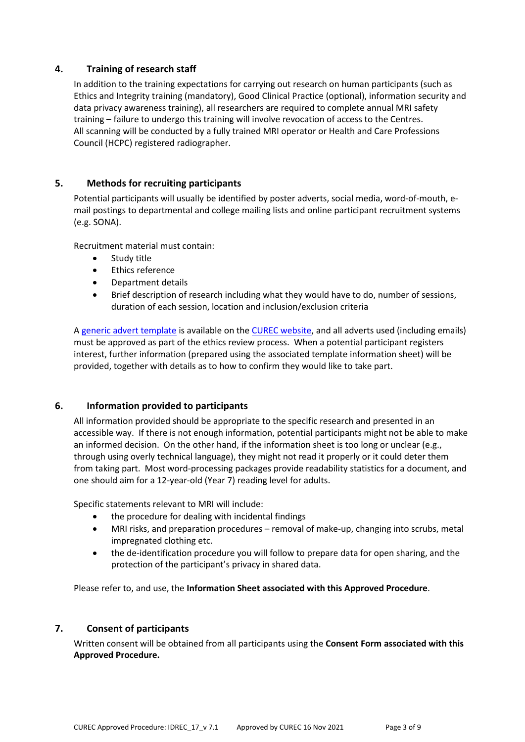## **4. Training of research staff**

In addition to the training expectations for carrying out research on human participants (such as Ethics and Integrity training (mandatory), Good Clinical Practice (optional), information security and data privacy awareness training), all researchers are required to complete annual MRI safety training – failure to undergo this training will involve revocation of access to the Centres. All scanning will be conducted by a fully trained MRI operator or Health and Care Professions Council (HCPC) registered radiographer.

## **5. Methods for recruiting participants**

Potential participants will usually be identified by poster adverts, social media, word-of-mouth, email postings to departmental and college mailing lists and online participant recruitment systems (e.g. SONA).

Recruitment material must contain:

- Study title
- Ethics reference
- Department details
- Brief description of research including what they would have to do, number of sessions, duration of each session, location and inclusion/exclusion criteria

[A generic advert template](https://researchsupport.admin.ox.ac.uk/files/templateposteradvertdocx) is available on th[e CUREC website,](https://researchsupport.admin.ox.ac.uk/governance/ethics#/) and all adverts used (including emails) must be approved as part of the ethics review process. When a potential participant registers interest, further information (prepared using the associated template information sheet) will be provided, together with details as to how to confirm they would like to take part.

#### **6. Information provided to participants**

All information provided should be appropriate to the specific research and presented in an accessible way. If there is not enough information, potential participants might not be able to make an informed decision. On the other hand, if the information sheet is too long or unclear (e.g., through using overly technical language), they might not read it properly or it could deter them from taking part. Most word-processing packages provide readability statistics for a document, and one should aim for a 12-year-old (Year 7) reading level for adults.

Specific statements relevant to MRI will include:

- the procedure for dealing with incidental findings
- MRI risks, and preparation procedures removal of make-up, changing into scrubs, metal impregnated clothing etc.
- the de-identification procedure you will follow to prepare data for open sharing, and the protection of the participant's privacy in shared data.

Please refer to, and use, the **Information Sheet associated with this Approved Procedure**.

#### **7. Consent of participants**

Written consent will be obtained from all participants using the **Consent Form associated with this Approved Procedure.**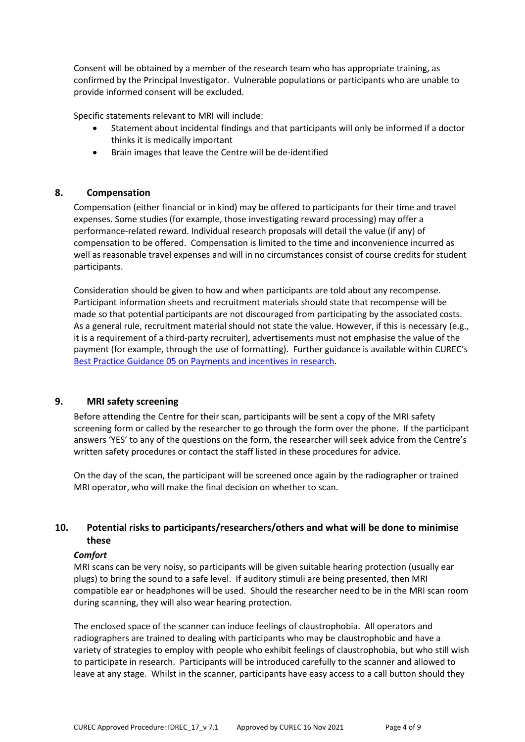Consent will be obtained by a member of the research team who has appropriate training, as confirmed by the Principal Investigator. Vulnerable populations or participants who are unable to provide informed consent will be excluded.

Specific statements relevant to MRI will include:

- Statement about incidental findings and that participants will only be informed if a doctor thinks it is medically important
- Brain images that leave the Centre will be de-identified

## **8. Compensation**

Compensation (either financial or in kind) may be offered to participants for their time and travel expenses. Some studies (for example, those investigating reward processing) may offer a performance-related reward. Individual research proposals will detail the value (if any) of compensation to be offered. Compensation is limited to the time and inconvenience incurred as well as reasonable travel expenses and will in no circumstances consist of course credits for student participants.

Consideration should be given to how and when participants are told about any recompense. Participant information sheets and recruitment materials should state that recompense will be made so that potential participants are not discouraged from participating by the associated costs. As a general rule, recruitment material should not state the value. However, if this is necessary (e.g., it is a requirement of a third-party recruiter), advertisements must not emphasise the value of the payment (for example, through the use of formatting). Further guidance is available within CUREC's [Best Practice Guidance 05 on Payments and incentives in research.](https://researchsupport.admin.ox.ac.uk/governance/ethics/resources/bpg)

## **9. MRI safety screening**

Before attending the Centre for their scan, participants will be sent a copy of the MRI safety screening form or called by the researcher to go through the form over the phone. If the participant answers 'YES' to any of the questions on the form, the researcher will seek advice from the Centre's written safety procedures or contact the staff listed in these procedures for advice.

On the day of the scan, the participant will be screened once again by the radiographer or trained MRI operator, who will make the final decision on whether to scan.

## **10. Potential risks to participants/researchers/others and what will be done to minimise these**

#### *Comfort*

MRI scans can be very noisy, so participants will be given suitable hearing protection (usually ear plugs) to bring the sound to a safe level. If auditory stimuli are being presented, then MRI compatible ear or headphones will be used. Should the researcher need to be in the MRI scan room during scanning, they will also wear hearing protection.

The enclosed space of the scanner can induce feelings of claustrophobia. All operators and radiographers are trained to dealing with participants who may be claustrophobic and have a variety of strategies to employ with people who exhibit feelings of claustrophobia, but who still wish to participate in research. Participants will be introduced carefully to the scanner and allowed to leave at any stage. Whilst in the scanner, participants have easy access to a call button should they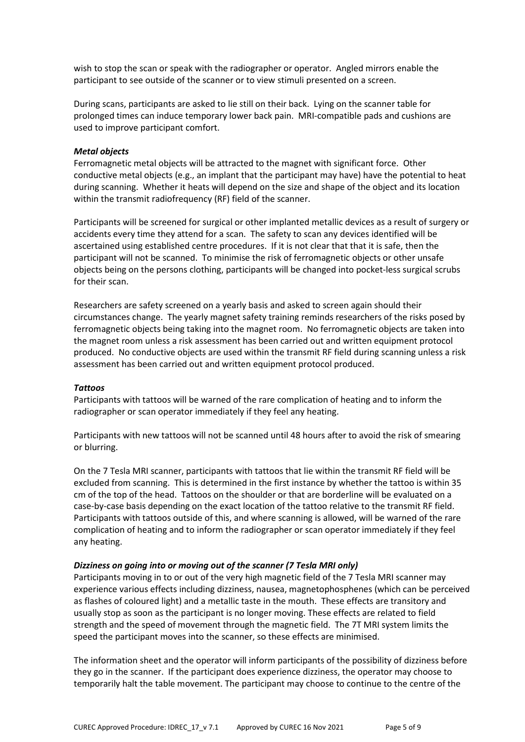wish to stop the scan or speak with the radiographer or operator. Angled mirrors enable the participant to see outside of the scanner or to view stimuli presented on a screen.

During scans, participants are asked to lie still on their back. Lying on the scanner table for prolonged times can induce temporary lower back pain. MRI-compatible pads and cushions are used to improve participant comfort.

#### *Metal objects*

Ferromagnetic metal objects will be attracted to the magnet with significant force. Other conductive metal objects (e.g., an implant that the participant may have) have the potential to heat during scanning. Whether it heats will depend on the size and shape of the object and its location within the transmit radiofrequency (RF) field of the scanner.

Participants will be screened for surgical or other implanted metallic devices as a result of surgery or accidents every time they attend for a scan. The safety to scan any devices identified will be ascertained using established centre procedures. If it is not clear that that it is safe, then the participant will not be scanned. To minimise the risk of ferromagnetic objects or other unsafe objects being on the persons clothing, participants will be changed into pocket-less surgical scrubs for their scan.

Researchers are safety screened on a yearly basis and asked to screen again should their circumstances change. The yearly magnet safety training reminds researchers of the risks posed by ferromagnetic objects being taking into the magnet room. No ferromagnetic objects are taken into the magnet room unless a risk assessment has been carried out and written equipment protocol produced. No conductive objects are used within the transmit RF field during scanning unless a risk assessment has been carried out and written equipment protocol produced.

#### *Tattoos*

Participants with tattoos will be warned of the rare complication of heating and to inform the radiographer or scan operator immediately if they feel any heating.

Participants with new tattoos will not be scanned until 48 hours after to avoid the risk of smearing or blurring.

On the 7 Tesla MRI scanner, participants with tattoos that lie within the transmit RF field will be excluded from scanning. This is determined in the first instance by whether the tattoo is within 35 cm of the top of the head. Tattoos on the shoulder or that are borderline will be evaluated on a case-by-case basis depending on the exact location of the tattoo relative to the transmit RF field. Participants with tattoos outside of this, and where scanning is allowed, will be warned of the rare complication of heating and to inform the radiographer or scan operator immediately if they feel any heating.

#### *Dizziness on going into or moving out of the scanner (7 Tesla MRI only)*

Participants moving in to or out of the very high magnetic field of the 7 Tesla MRI scanner may experience various effects including dizziness, nausea, magnetophosphenes (which can be perceived as flashes of coloured light) and a metallic taste in the mouth. These effects are transitory and usually stop as soon as the participant is no longer moving. These effects are related to field strength and the speed of movement through the magnetic field. The 7T MRI system limits the speed the participant moves into the scanner, so these effects are minimised.

The information sheet and the operator will inform participants of the possibility of dizziness before they go in the scanner. If the participant does experience dizziness, the operator may choose to temporarily halt the table movement. The participant may choose to continue to the centre of the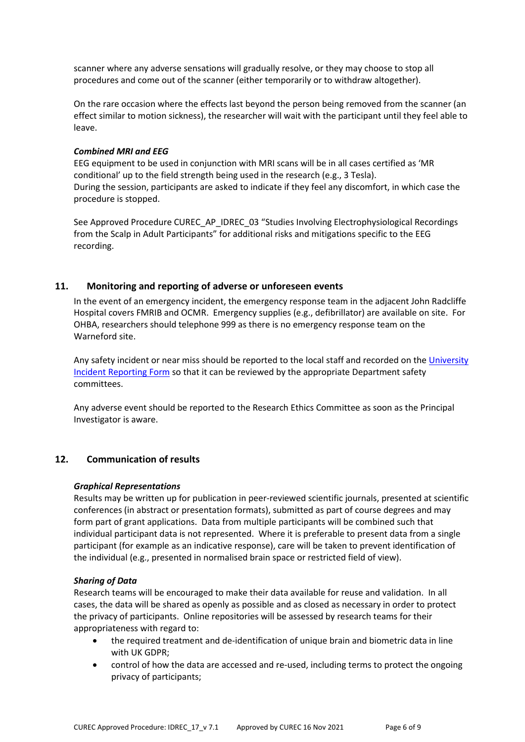scanner where any adverse sensations will gradually resolve, or they may choose to stop all procedures and come out of the scanner (either temporarily or to withdraw altogether).

On the rare occasion where the effects last beyond the person being removed from the scanner (an effect similar to motion sickness), the researcher will wait with the participant until they feel able to leave.

#### *Combined MRI and EEG*

EEG equipment to be used in conjunction with MRI scans will be in all cases certified as 'MR conditional' up to the field strength being used in the research (e.g., 3 Tesla). During the session, participants are asked to indicate if they feel any discomfort, in which case the procedure is stopped.

See Approved Procedure CUREC\_AP\_IDREC\_03 "Studies Involving Electrophysiological Recordings from the Scalp in Adult Participants" for additional risks and mitigations specific to the EEG recording.

#### **11. Monitoring and reporting of adverse or unforeseen events**

In the event of an emergency incident, the emergency response team in the adjacent John Radcliffe Hospital covers FMRIB and OCMR. Emergency supplies (e.g., defibrillator) are available on site. For OHBA, researchers should telephone 999 as there is no emergency response team on the Warneford site.

Any safety incident or near miss should be reported to the local staff and recorded on the University [Incident Reporting Form](https://safety.admin.ox.ac.uk/incident-reporting#/) so that it can be reviewed by the appropriate Department safety committees.

Any adverse event should be reported to the Research Ethics Committee as soon as the Principal Investigator is aware.

#### **12. Communication of results**

#### *Graphical Representations*

Results may be written up for publication in peer-reviewed scientific journals, presented at scientific conferences (in abstract or presentation formats), submitted as part of course degrees and may form part of grant applications. Data from multiple participants will be combined such that individual participant data is not represented. Where it is preferable to present data from a single participant (for example as an indicative response), care will be taken to prevent identification of the individual (e.g., presented in normalised brain space or restricted field of view).

#### *Sharing of Data*

Research teams will be encouraged to make their data available for reuse and validation. In all cases, the data will be shared as openly as possible and as closed as necessary in order to protect the privacy of participants. Online repositories will be assessed by research teams for their appropriateness with regard to:

- the required treatment and de-identification of unique brain and biometric data in line with UK GDPR;
- control of how the data are accessed and re-used, including terms to protect the ongoing privacy of participants;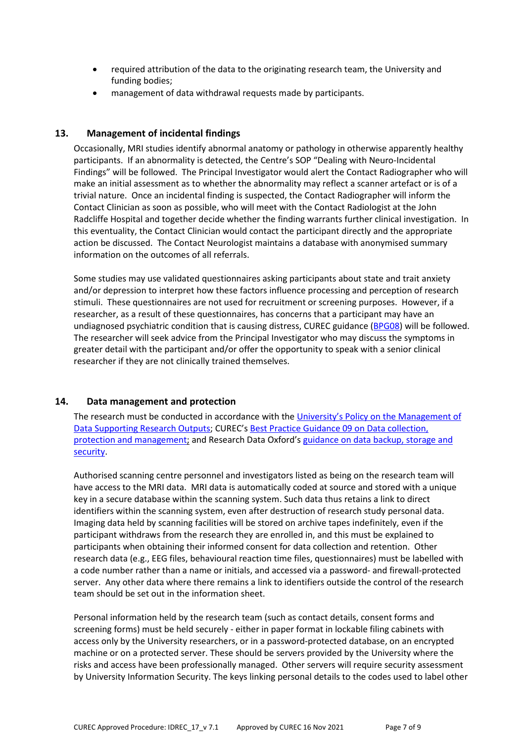- required attribution of the data to the originating research team, the University and funding bodies;
- management of data withdrawal requests made by participants.

## **13. Management of incidental findings**

Occasionally, MRI studies identify abnormal anatomy or pathology in otherwise apparently healthy participants. If an abnormality is detected, the Centre's SOP "Dealing with Neuro-Incidental Findings" will be followed. The Principal Investigator would alert the Contact Radiographer who will make an initial assessment as to whether the abnormality may reflect a scanner artefact or is of a trivial nature. Once an incidental finding is suspected, the Contact Radiographer will inform the Contact Clinician as soon as possible, who will meet with the Contact Radiologist at the John Radcliffe Hospital and together decide whether the finding warrants further clinical investigation. In this eventuality, the Contact Clinician would contact the participant directly and the appropriate action be discussed. The Contact Neurologist maintains a database with anonymised summary information on the outcomes of all referrals.

Some studies may use validated questionnaires asking participants about state and trait anxiety and/or depression to interpret how these factors influence processing and perception of research stimuli. These questionnaires are not used for recruitment or screening purposes. However, if a researcher, as a result of these questionnaires, has concerns that a participant may have an undiagnosed psychiatric condition that is causing distress, CUREC guidance [\(BPG08\)](https://researchsupport.admin.ox.ac.uk/files/bpg08psychologicaldistresspdf) will be followed. The researcher will seek advice from the Principal Investigator who may discuss the symptoms in greater detail with the participant and/or offer the opportunity to speak with a senior clinical researcher if they are not clinically trained themselves.

## **14. Data management and protection**

The research must be conducted in accordance with th[e University's Policy on the Management of](hhttps://researchdata.ox.ac.uk/university-of-oxford-policy-on-the-management-of-data-supporting-research-outputs/)  [Data Supporting Research Outputs;](hhttps://researchdata.ox.ac.uk/university-of-oxford-policy-on-the-management-of-data-supporting-research-outputs/) CUREC'[s Best Practice Guidance 09 on Data collection,](https://researchsupport.admin.ox.ac.uk/governance/ethics/resources/bpg)  [protection and management;](https://researchsupport.admin.ox.ac.uk/governance/ethics/resources/bpg) and Research Data Oxford's [guidance on data backup, storage and](https://researchdata.ox.ac.uk/home/managing-your-data-at-oxford/storage-and-backup)  [security.](https://researchdata.ox.ac.uk/home/managing-your-data-at-oxford/storage-and-backup)

Authorised scanning centre personnel and investigators listed as being on the research team will have access to the MRI data. MRI data is automatically coded at source and stored with a unique key in a secure database within the scanning system. Such data thus retains a link to direct identifiers within the scanning system, even after destruction of research study personal data. Imaging data held by scanning facilities will be stored on archive tapes indefinitely, even if the participant withdraws from the research they are enrolled in, and this must be explained to participants when obtaining their informed consent for data collection and retention. Other research data (e.g., EEG files, behavioural reaction time files, questionnaires) must be labelled with a code number rather than a name or initials, and accessed via a password- and firewall-protected server. Any other data where there remains a link to identifiers outside the control of the research team should be set out in the information sheet.

Personal information held by the research team (such as contact details, consent forms and screening forms) must be held securely - either in paper format in lockable filing cabinets with access only by the University researchers, or in a password-protected database, on an encrypted machine or on a protected server. These should be servers provided by the University where the risks and access have been professionally managed. Other servers will require security assessment by University Information Security. The keys linking personal details to the codes used to label other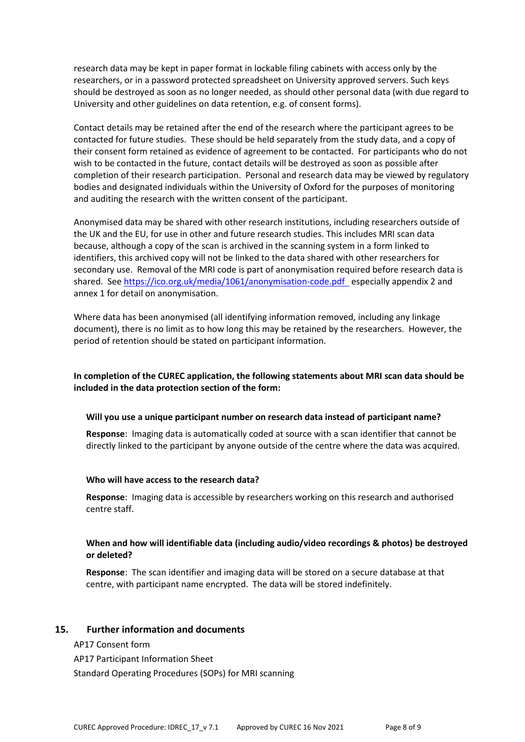research data may be kept in paper format in lockable filing cabinets with access only by the researchers, or in a password protected spreadsheet on University approved servers. Such keys should be destroyed as soon as no longer needed, as should other personal data (with due regard to University and other guidelines on data retention, e.g. of consent forms).

Contact details may be retained after the end of the research where the participant agrees to be contacted for future studies. These should be held separately from the study data, and a copy of their consent form retained as evidence of agreement to be contacted. For participants who do not wish to be contacted in the future, contact details will be destroyed as soon as possible after completion of their research participation. Personal and research data may be viewed by regulatory bodies and designated individuals within the University of Oxford for the purposes of monitoring and auditing the research with the written consent of the participant.

Anonymised data may be shared with other research institutions, including researchers outside of the UK and the EU, for use in other and future research studies. This includes MRI scan data because, although a copy of the scan is archived in the scanning system in a form linked to identifiers, this archived copy will not be linked to the data shared with other researchers for secondary use. Removal of the MRI code is part of anonymisation required before research data is shared. Se[e https://ico.org.uk/media/1061/anonymisation-code.pdf](https://ico.org.uk/media/1061/anonymisation-code.pdf) especially appendix 2 and annex 1 for detail on anonymisation.

Where data has been anonymised (all identifying information removed, including any linkage document), there is no limit as to how long this may be retained by the researchers. However, the period of retention should be stated on participant information.

## **In completion of the CUREC application, the following statements about MRI scan data should be included in the data protection section of the form:**

#### **Will you use a unique participant number on research data instead of participant name?**

**Response**: Imaging data is automatically coded at source with a scan identifier that cannot be directly linked to the participant by anyone outside of the centre where the data was acquired.

#### **Who will have access to the research data?**

**Response**: Imaging data is accessible by researchers working on this research and authorised centre staff.

## **When and how will identifiable data (including audio/video recordings & photos) be destroyed or deleted?**

**Response**: The scan identifier and imaging data will be stored on a secure database at that centre, with participant name encrypted. The data will be stored indefinitely.

#### **15. Further information and documents**

AP17 Consent form

AP17 Participant Information Sheet

Standard Operating Procedures (SOPs) for MRI scanning